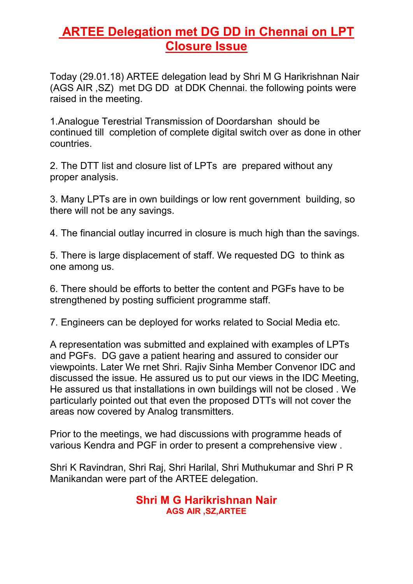## **ARTEE Delegation met DG DD in Chennai on LPT Closure Issue**

Today (29.01.18) ARTEE delegation lead by Shri M G Harikrishnan Nair (AGS AIR ,SZ) met DG DD at DDK Chennai. the following points were raised in the meeting.

1.Analogue Terestrial Transmission of Doordarshan should be continued till completion of complete digital switch over as done in other countries.

2. The DTT list and closure list of LPTs are prepared without any proper analysis.

3. Many LPTs are in own buildings or low rent government building, so there will not be any savings.

4. The financial outlay incurred in closure is much high than the savings.

5. There is large displacement of staff. We requested DG to think as one among us.

6. There should be efforts to better the content and PGFs have to be strengthened by posting sufficient programme staff.

7. Engineers can be deployed for works related to Social Media etc.

A representation was submitted and explained with examples of LPTs and PGFs. DG gave a patient hearing and assured to consider our viewpoints. Later We rnet Shri. Rajiv Sinha Member Convenor IDC and discussed the issue. He assured us to put our views in the IDC Meeting, He assured us that installations in own buildings will not be closed . We particularly pointed out that even the proposed DTTs will not cover the areas now covered by Analog transmitters.

Prior to the meetings, we had discussions with programme heads of various Kendra and PGF in order to present a comprehensive view .

Shri K Ravindran, Shri Raj, Shri Harilal, Shri Muthukumar and Shri P R Manikandan were part of the ARTEE delegation.

> **Shri M G Harikrishnan Nair AGS AIR ,SZ,ARTEE**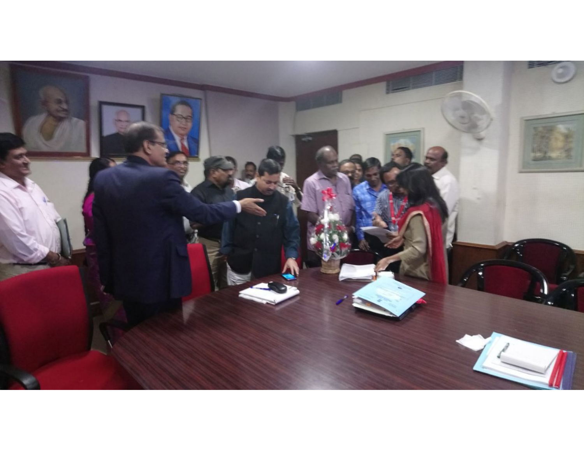